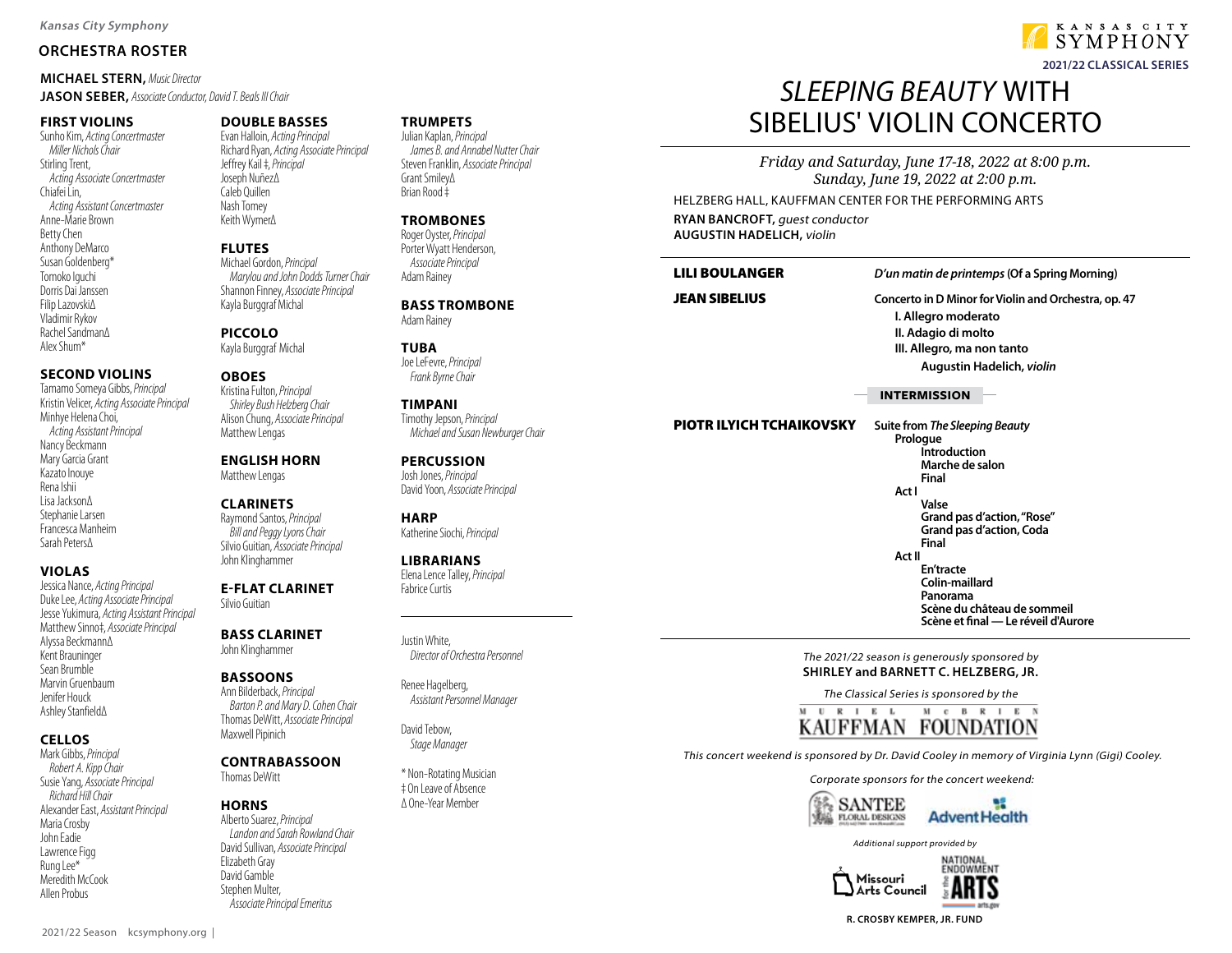## **ORCHESTRA ROSTER**

**MICHAEL STERN,** Music Director **JASON SEBER,** Associate Conductor, David T. Beals III Chair

#### **FIRST VIOLINS**

Sunho Kim, Acting Concertmaster Miller Nichols Chair Stirling Trent, Acting Associate Concertmaster Chiafei Lin, Acting Assistant Concertmaster Anne-Marie Brown Betty Chen Anthony DeMarco Susan Goldenberg\* Tomoko Iguchi Dorris Dai Janssen Filip Lazovski∆ Vladimir Rykov Rachel Sandman∆ Alex Shum\*

#### **SECOND VIOLINS**

Tamamo Someya Gibbs, Principal Kristin Velicer, Acting Associate Principal Minhye Helena Choi, Acting Assistant Principal Nancy Beckmann Mary Garcia Grant Kazato Inouye Rena Ishii Lisa Jackson∆ Stephanie Larsen Francesca Manheim Sarah Peters∆

## **VIOLAS**

Jessica Nance, Acting Principal Duke Lee, Acting Associate Principal Jesse Yukimura, Acting Assistant Principal Matthew Sinno‡, Associate Principal Alyssa Beckmann∆ Kent Brauninger Sean Brumble Marvin Gruenbaum Jenifer Houck Ashley Stanfield∆

## **CELLOS**

Mark Gibbs, Principal Robert A. Kipp Chair Susie Yang, Associate Principal Richard Hill Chair Alexander East, Assistant Principal Maria Crosby John Eadie Lawrence Figg Rung Lee\* Meredith McCook Allen Probus

## **DOUBLE BASSES**

Evan Halloin, Acting Principal Richard Ryan, Acting Associate Principal Jeffrey Kail ‡, Principal Joseph Nuñez∆ Caleb Quillen Nash Tomey Keith Wymer∆

#### **FLUTES**

Michael Gordon, Principal Marylou and John Dodds Turner Chair Shannon Finney, Associate Principal Kayla Burggraf Michal

**PICCOLO** Kayla Burggraf Michal

## **OBOES**

Kristina Fulton, Principal Shirley Bush Helzberg Chair Alison Chung, Associate Principal Matthew Lengas

**ENGLISH HORN** Matthew Lengas

#### **CLARINETS**

Raymond Santos, Principal Bill and Peggy Lyons Chair Silvio Guitian, Associate Principal John Klinghammer

#### **E-FLAT CLARINET** Silvio Guitian

**BASS CLARINET** John Klinghammer

#### **BASSOONS**

Ann Bilderback, Principal Barton P. and Mary D. Cohen Chair Thomas DeWitt, Associate Principal Maxwell Pipinich

## **CONTRABASSOON**

Thomas DeWitt

#### **HORNS**

Alberto Suarez, Principal Landon and Sarah Rowland Chair David Sullivan, Associate Principal Elizabeth Gray David Gamble Stephen Multer, Associate Principal Emeritus

## **TRUMPETS**

Julian Kaplan, Principal James B. and Annabel Nutter Chair Steven Franklin, Associate Principal Grant Smiley∆ Brian Rood ‡

### **TROMBONES**

Roger Oyster, Principal Porter Wyatt Henderson, Associate Principal Adam Rainey

**BASS TROMBONE** Adam Rainey

**TUBA** Joe LeFevre, Principal Frank Byrne Chair

#### **TIMPANI** Timothy Jepson, Principal Michael and Susan Newburger Chair

**PERCUSSION** Josh Jones, Principal David Yoon, Associate Principal

**HARP** Katherine Siochi, Principal

#### **LIBRARIANS** Elena Lence Talley, Principal Fabrice Curtis

Justin White, Director of Orchestra Personnel

Renee Hagelberg, Assistant Personnel Manager

David Tebow, Stage Manager

\* Non-Rotating Musician ‡ On Leave of Absence ∆ One-Year Member

# SI FFPING BFAUTY WITH SIBELIUS' VIOLIN CONCERTO

*Friday and Saturday, June 17-18, 2022 at 8:00 p.m. Sunday, June 19, 2022 at 2:00 p.m.*

HELZBERG HALL, KAUFFMAN CENTER FOR THE PERFORMING ARTS **RYAN BANCROFT,** guest conductor **AUGUSTIN HADELICH,** violin

## LILI BOULANGER **D'un matin de printemps (Of a Spring Morning)**

JEAN SIBELIUS **Concerto in D Minor for Violin and Orchestra, op. 47 I. Allegro moderato II. Adagio di molto III. Allegro, ma non tanto Augustin Hadelich, violin**

#### **INTERMISSION**

#### PIOTR ILYICH TCHAIKOVSKY **Suite from The Sleeping Beauty**

 **Prologue Introduction Marche de salon Final Act I Valse Grand pas d'action, "Rose" Grand pas d'action, Coda Final Act II En'tracte Colin-maillard Panorama Scène du château de sommeil Scène et final — Le réveil d'Aurore**

#### The 2021/22 season is generously sponsored by **SHIRLEY and BARNETT C. HELZBERG, JR.**

The Classical Series is sponsored by the



This concert weekend is sponsored by Dr. David Cooley in memory of Virginia Lynn (Gigi) Cooley.

Corporate sponsors for the concert weekend:







KANSAS CITY  $SYMPHONY$ **2021/22 CLASSICAL SERIES**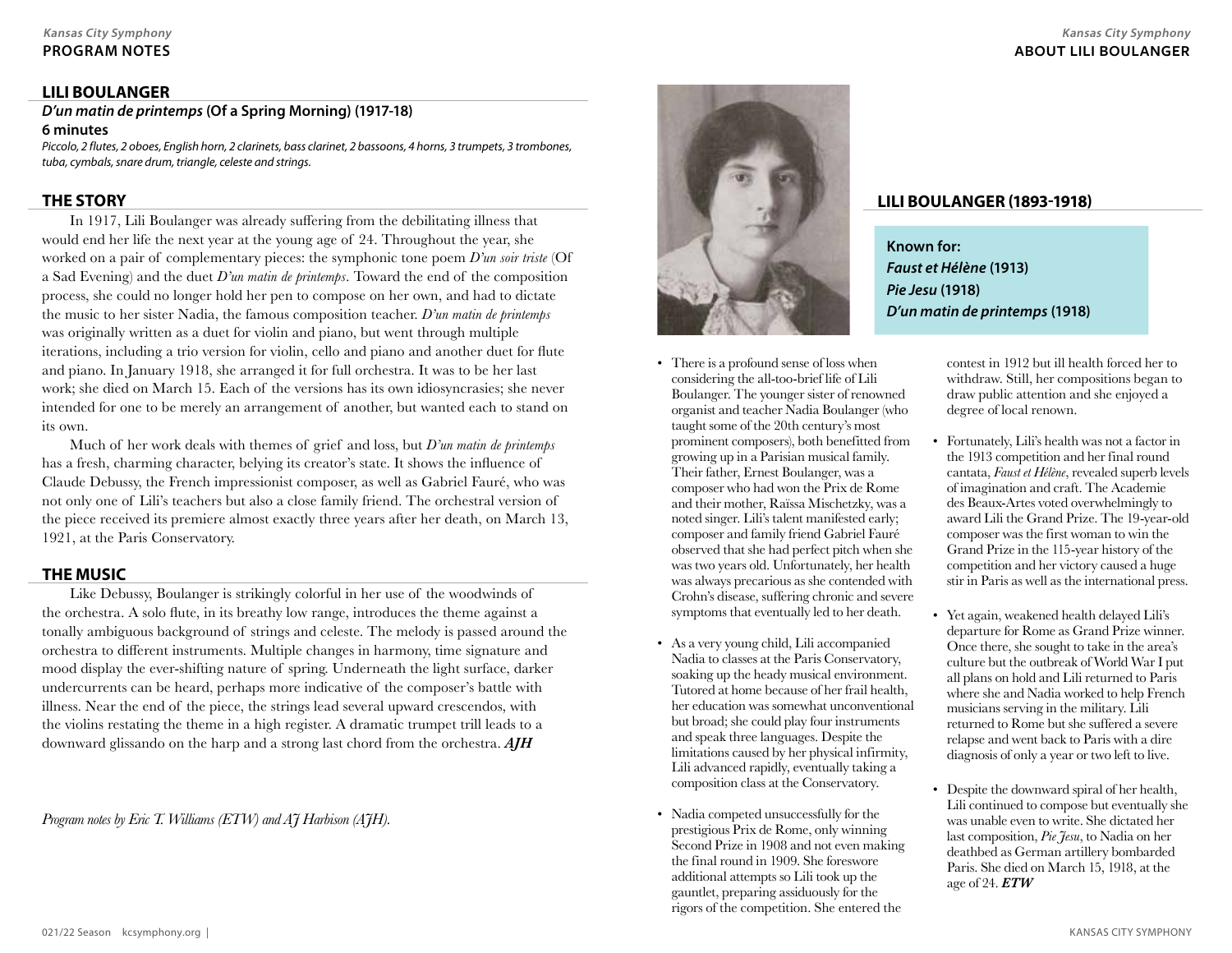## **PROGRAM NOTES**

## **LILI BOULANGER**

**D'un matin de printemps (Of a Spring Morning) (1917-18)**

## **6 minutes**

Piccolo, 2 flutes, 2 oboes, English horn, 2 clarinets, bass clarinet, 2 bassoons, 4 horns, 3 trumpets, 3 trombones, tuba, cymbals, snare drum, triangle, celeste and strings.

## **THE STORY**

In 1917, Lili Boulanger was already suffering from the debilitating illness that would end her life the next year at the young age of 24. Throughout the year, she worked on a pair of complementary pieces: the symphonic tone poem *D'un soir triste* (Of a Sad Evening) and the duet *D'un matin de printemps*. Toward the end of the composition process, she could no longer hold her pen to compose on her own, and had to dictate the music to her sister Nadia, the famous composition teacher. *D'un matin de printemps* was originally written as a duet for violin and piano, but went through multiple iterations, including a trio version for violin, cello and piano and another duet for flute and piano. In January 1918, she arranged it for full orchestra. It was to be her last work; she died on March 15. Each of the versions has its own idiosyncrasies; she never intended for one to be merely an arrangement of another, but wanted each to stand on its own.

Much of her work deals with themes of grief and loss, but *D'un matin de printemps* has a fresh, charming character, belying its creator's state. It shows the influence of Claude Debussy, the French impressionist composer, as well as Gabriel Fauré, who was not only one of Lili's teachers but also a close family friend. The orchestral version of the piece received its premiere almost exactly three years after her death, on March 13, 1921, at the Paris Conservatory.

## **THE MUSIC**

Like Debussy, Boulanger is strikingly colorful in her use of the woodwinds of the orchestra. A solo flute, in its breathy low range, introduces the theme against a tonally ambiguous background of strings and celeste. The melody is passed around the orchestra to different instruments. Multiple changes in harmony, time signature and mood display the ever-shifting nature of spring. Underneath the light surface, darker undercurrents can be heard, perhaps more indicative of the composer's battle with illness. Near the end of the piece, the strings lead several upward crescendos, with the violins restating the theme in a high register. A dramatic trumpet trill leads to a downward glissando on the harp and a strong last chord from the orchestra. *AJH*

*Program notes by Eric T. Williams (ETW) and AJ Harbison (AJH).*



- There is a profound sense of loss when considering the all-too-brief life of Lili Boulanger. The younger sister of renowned organist and teacher Nadia Boulanger (who taught some of the 20th century's most prominent composers), both benefitted from growing up in a Parisian musical family. Their father, Ernest Boulanger, was a composer who had won the Prix de Rome and their mother, Raïssa Mischetzky, was a noted singer. Lili's talent manifested early; composer and family friend Gabriel Fauré observed that she had perfect pitch when she was two years old. Unfortunately, her health was always precarious as she contended with Crohn's disease, suffering chronic and severe symptoms that eventually led to her death.
- As a very young child, Lili accompanied Nadia to classes at the Paris Conservatory, soaking up the heady musical environment. Tutored at home because of her frail health, her education was somewhat unconventional but broad; she could play four instruments and speak three languages. Despite the limitations caused by her physical infirmity, Lili advanced rapidly, eventually taking a composition class at the Conservatory.
- Nadia competed unsuccessfully for the prestigious Prix de Rome, only winning Second Prize in 1908 and not even making the final round in 1909. She foreswore additional attempts so Lili took up the gauntlet, preparing assiduously for the rigors of the competition. She entered the

## **LILI BOULANGER (1893-1918)**

**Known for: Faust et Hélène (1913) Pie Jesu (1918) D'un matin de printemps (1918)**

> contest in 1912 but ill health forced her to withdraw. Still, her compositions began to draw public attention and she enjoyed a degree of local renown.

- Fortunately, Lili's health was not a factor in the 1913 competition and her final round cantata, *Faust et Hélène*, revealed superb levels of imagination and craft. The Academie des Beaux-Artes voted overwhelmingly to award Lili the Grand Prize. The 19-year-old composer was the first woman to win the Grand Prize in the 115-year history of the competition and her victory caused a huge stir in Paris as well as the international press.
- Yet again, weakened health delayed Lili's departure for Rome as Grand Prize winner. Once there, she sought to take in the area's culture but the outbreak of World War I put all plans on hold and Lili returned to Paris where she and Nadia worked to help French musicians serving in the military. Lili returned to Rome but she suffered a severe relapse and went back to Paris with a dire diagnosis of only a year or two left to live.
- Despite the downward spiral of her health, Lili continued to compose but eventually she was unable even to write. She dictated her last composition, *Pie Jesu*, to Nadia on her deathbed as German artillery bombarded Paris. She died on March 15, 1918, at the age of 24. *ETW*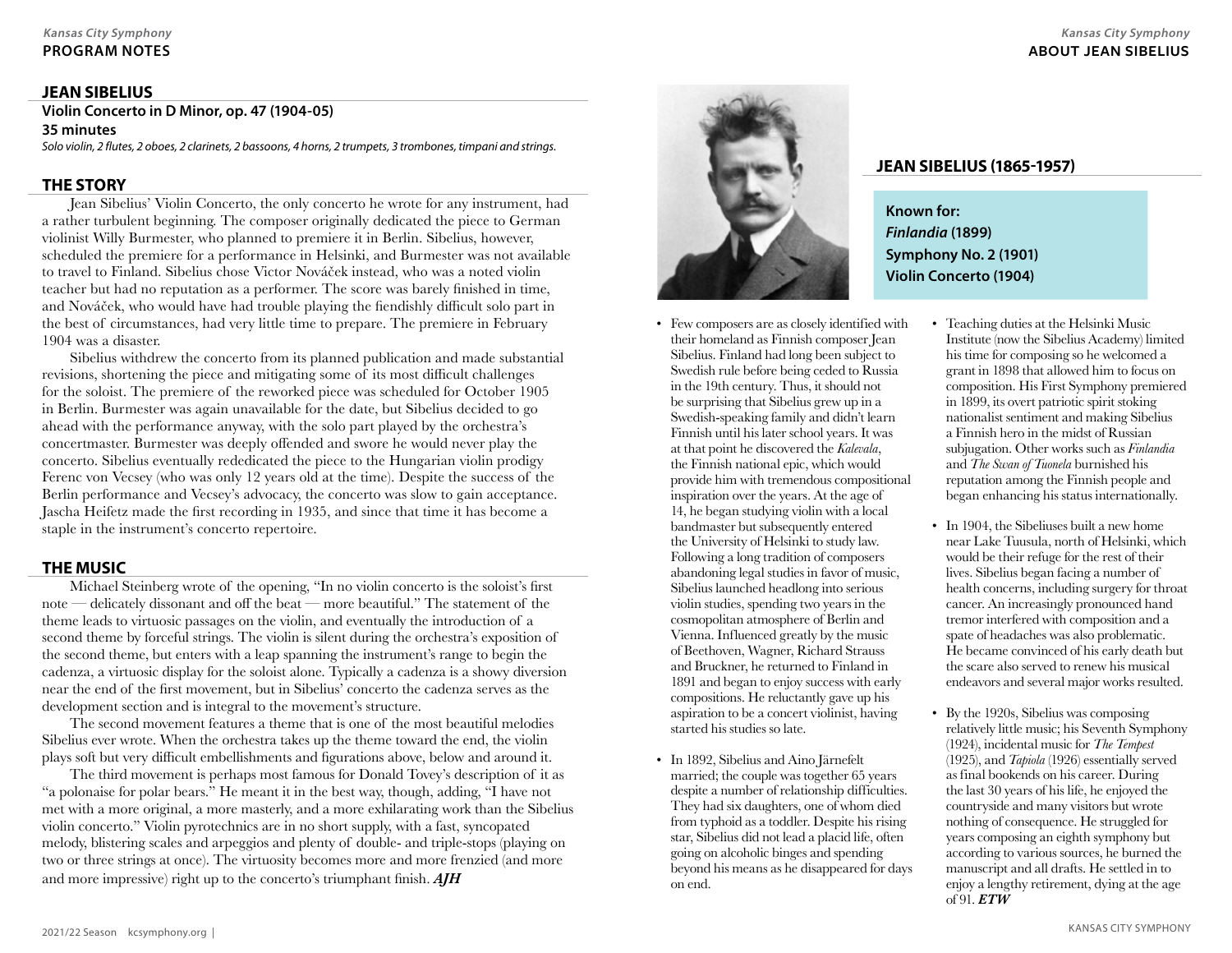## **JEAN SIBELIUS**

**Violin Concerto in D Minor, op. 47 (1904-05) 35 minutes**

Solo violin, 2 flutes, 2 oboes, 2 clarinets, 2 bassoons, 4 horns, 2 trumpets, 3 trombones, timpani and strings.

### **THE STORY**

Jean Sibelius' Violin Concerto, the only concerto he wrote for any instrument, had a rather turbulent beginning. The composer originally dedicated the piece to German violinist Willy Burmester, who planned to premiere it in Berlin. Sibelius, however, scheduled the premiere for a performance in Helsinki, and Burmester was not available to travel to Finland. Sibelius chose Victor Nováček instead, who was a noted violin teacher but had no reputation as a performer. The score was barely finished in time, and Nováček, who would have had trouble playing the fiendishly difficult solo part in the best of circumstances, had very little time to prepare. The premiere in February 1904 was a disaster.

Sibelius withdrew the concerto from its planned publication and made substantial revisions, shortening the piece and mitigating some of its most difficult challenges for the soloist. The premiere of the reworked piece was scheduled for October 1905 in Berlin. Burmester was again unavailable for the date, but Sibelius decided to go ahead with the performance anyway, with the solo part played by the orchestra's concertmaster. Burmester was deeply offended and swore he would never play the concerto. Sibelius eventually rededicated the piece to the Hungarian violin prodigy Ferenc von Vecsey (who was only 12 years old at the time). Despite the success of the Berlin performance and Vecsey's advocacy, the concerto was slow to gain acceptance. Jascha Heifetz made the first recording in 1935, and since that time it has become a staple in the instrument's concerto repertoire.

## **THE MUSIC**

Michael Steinberg wrote of the opening, "In no violin concerto is the soloist's first note — delicately dissonant and off the beat — more beautiful." The statement of the theme leads to virtuosic passages on the violin, and eventually the introduction of a second theme by forceful strings. The violin is silent during the orchestra's exposition of the second theme, but enters with a leap spanning the instrument's range to begin the cadenza, a virtuosic display for the soloist alone. Typically a cadenza is a showy diversion near the end of the first movement, but in Sibelius' concerto the cadenza serves as the development section and is integral to the movement's structure.

The second movement features a theme that is one of the most beautiful melodies Sibelius ever wrote. When the orchestra takes up the theme toward the end, the violin plays soft but very difficult embellishments and figurations above, below and around it.

The third movement is perhaps most famous for Donald Tovey's description of it as "a polonaise for polar bears." He meant it in the best way, though, adding, "I have not met with a more original, a more masterly, and a more exhilarating work than the Sibelius violin concerto." Violin pyrotechnics are in no short supply, with a fast, syncopated melody, blistering scales and arpeggios and plenty of double- and triple-stops (playing on two or three strings at once). The virtuosity becomes more and more frenzied (and more and more impressive) right up to the concerto's triumphant finish. *AJH*



- Few composers are as closely identified with their homeland as Finnish composer Jean Sibelius. Finland had long been subject to Swedish rule before being ceded to Russia in the 19th century. Thus, it should not be surprising that Sibelius grew up in a Swedish-speaking family and didn't learn Finnish until his later school years. It was at that point he discovered the *Kalevala*, the Finnish national epic, which would provide him with tremendous compositional inspiration over the years. At the age of 14, he began studying violin with a local bandmaster but subsequently entered the University of Helsinki to study law. Following a long tradition of composers abandoning legal studies in favor of music, Sibelius launched headlong into serious violin studies, spending two years in the cosmopolitan atmosphere of Berlin and Vienna. Influenced greatly by the music of Beethoven, Wagner, Richard Strauss and Bruckner, he returned to Finland in 1891 and began to enjoy success with early compositions. He reluctantly gave up his aspiration to be a concert violinist, having started his studies so late.
- In 1892, Sibelius and Aino Järnefelt married; the couple was together 65 years despite a number of relationship difficulties. They had six daughters, one of whom died from typhoid as a toddler. Despite his rising star, Sibelius did not lead a placid life, often going on alcoholic binges and spending beyond his means as he disappeared for days on end.

## **JEAN SIBELIUS (1865-1957)**

**Known for: Finlandia (1899) Symphony No. 2 (1901) Violin Concerto (1904)** 

- Teaching duties at the Helsinki Music Institute (now the Sibelius Academy) limited his time for composing so he welcomed a grant in 1898 that allowed him to focus on composition. His First Symphony premiered in 1899, its overt patriotic spirit stoking nationalist sentiment and making Sibelius a Finnish hero in the midst of Russian subjugation. Other works such as *Finlandia* and *The Swan of Tuonela* burnished his reputation among the Finnish people and began enhancing his status internationally.
- In 1904, the Sibeliuses built a new home near Lake Tuusula, north of Helsinki, which would be their refuge for the rest of their lives. Sibelius began facing a number of health concerns, including surgery for throat cancer. An increasingly pronounced hand tremor interfered with composition and a spate of headaches was also problematic. He became convinced of his early death but the scare also served to renew his musical endeavors and several major works resulted.
- By the 1920s, Sibelius was composing relatively little music; his Seventh Symphony (1924), incidental music for *The Tempest* (1925), and *Tapiola* (1926) essentially served as final bookends on his career. During the last 30 years of his life, he enjoyed the countryside and many visitors but wrote nothing of consequence. He struggled for years composing an eighth symphony but according to various sources, he burned the manuscript and all drafts. He settled in to enjoy a lengthy retirement, dying at the age of 91. *ETW*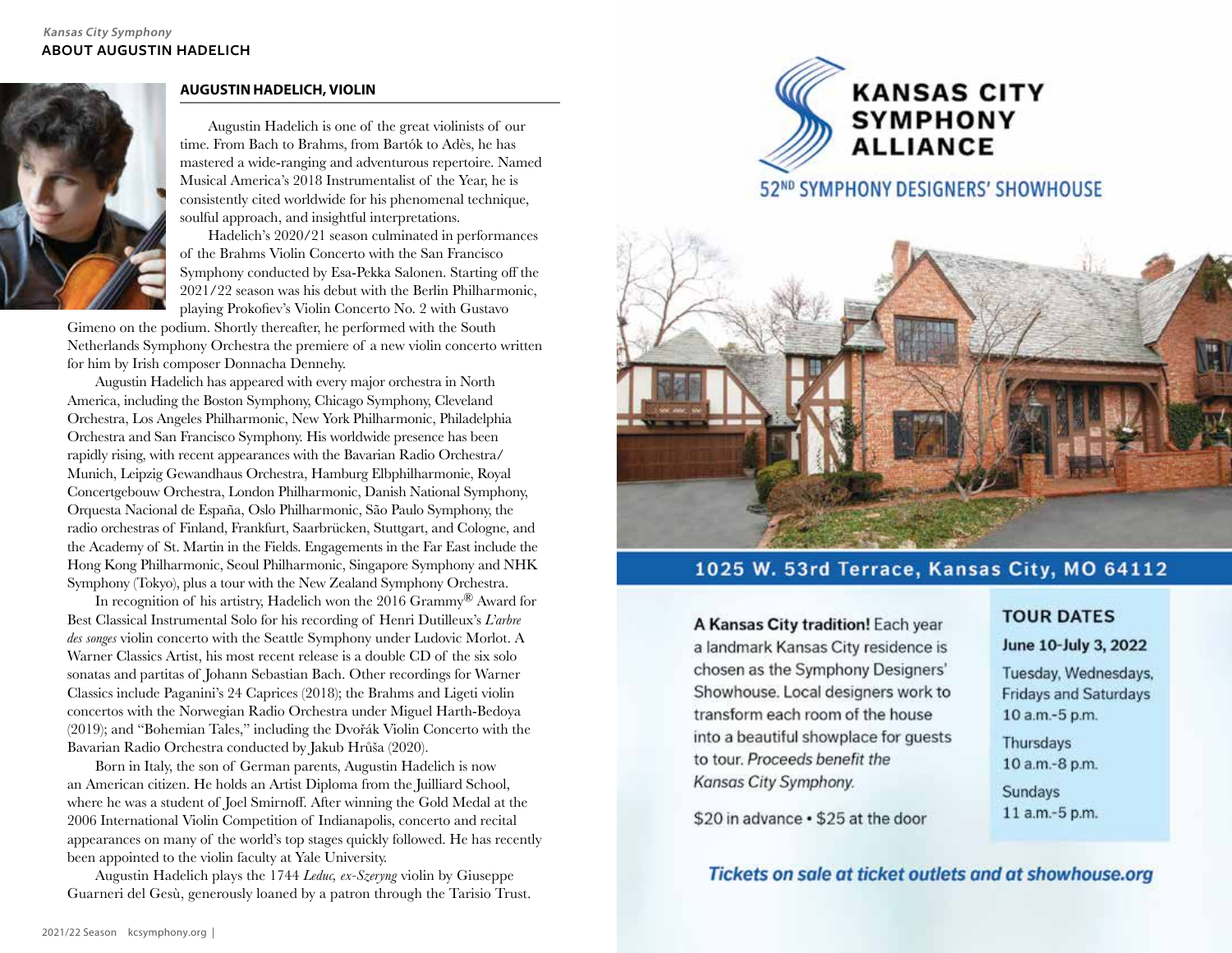

## **AUGUSTIN HADELICH, VIOLIN**

Augustin Hadelich is one of the great violinists of our time. From Bach to Brahms, from Bartók to Adès, he has mastered a wide-ranging and adventurous repertoire. Named Musical America's 2018 Instrumentalist of the Year, he is consistently cited worldwide for his phenomenal technique, soulful approach, and insightful interpretations.

Hadelich's 2020/21 season culminated in performances of the Brahms Violin Concerto with the San Francisco Symphony conducted by Esa-Pekka Salonen. Starting off the 2021/22 season was his debut with the Berlin Philharmonic, playing Prokofiev's Violin Concerto No. 2 with Gustavo

Gimeno on the podium. Shortly thereafter, he performed with the South Netherlands Symphony Orchestra the premiere of a new violin concerto written for him by Irish composer Donnacha Dennehy.

Augustin Hadelich has appeared with every major orchestra in North America, including the Boston Symphony, Chicago Symphony, Cleveland Orchestra, Los Angeles Philharmonic, New York Philharmonic, Philadelphia Orchestra and San Francisco Symphony. His worldwide presence has been rapidly rising, with recent appearances with the Bavarian Radio Orchestra/ Munich, Leipzig Gewandhaus Orchestra, Hamburg Elbphilharmonie, Royal Concertgebouw Orchestra, London Philharmonic, Danish National Symphony, Orquesta Nacional de España, Oslo Philharmonic, São Paulo Symphony, the radio orchestras of Finland, Frankfurt, Saarbrücken, Stuttgart, and Cologne, and the Academy of St. Martin in the Fields. Engagements in the Far East include the Hong Kong Philharmonic, Seoul Philharmonic, Singapore Symphony and NHK Symphony (Tokyo), plus a tour with the New Zealand Symphony Orchestra.

In recognition of his artistry, Hadelich won the 2016 Grammy ® Award for Best Classical Instrumental Solo for his recording of Henri Dutilleux's *L'arbre des songes* violin concerto with the Seattle Symphony under Ludovic Morlot. A Warner Classics Artist, his most recent release is a double CD of the six solo sonatas and partitas of Johann Sebastian Bach. Other recordings for Warner Classics include Paganini's 24 Caprices (2018); the Brahms and Ligeti violin concertos with the Norwegian Radio Orchestra under Miguel Harth-Bedoya (2019); and "Bohemian Tales," including the Dvořák Violin Concerto with the Bavarian Radio Orchestra conducted by Jakub Hrůša (2020).

Born in Italy, the son of German parents, Augustin Hadelich is now an American citizen. He holds an Artist Diploma from the Juilliard School, where he was a student of Joel Smirnoff. After winning the Gold Medal at the 2006 International Violin Competition of Indianapolis, concerto and recital appearances on many of the world's top stages quickly followed. He has recently been appointed to the violin faculty at Yale University.

Augustin Hadelich plays the 1744 *Leduc, ex-Szeryng* violin by Giuseppe Guarneri del Gesù, generously loaned by a patron through the Tarisio Trust.



## 52ND SYMPHONY DESIGNERS' SHOWHOUSE



## 1025 W. 53rd Terrace, Kansas City, MO 64112

A Kansas City tradition! Each year a landmark Kansas City residence is chosen as the Symphony Designers' Showhouse. Local designers work to transform each room of the house into a beautiful showplace for quests to tour. Proceeds benefit the Kansas City Symphony.

## **TOUR DATES**

## June 10-July 3, 2022

Tuesday, Wednesdays, **Fridays and Saturdays** 10 a.m.-5 p.m.

Thursdays 10 a.m.-8 p.m. Sundays 11 a.m.-5 p.m.

\$20 in advance . \$25 at the door

## Tickets on sale at ticket outlets and at showhouse.org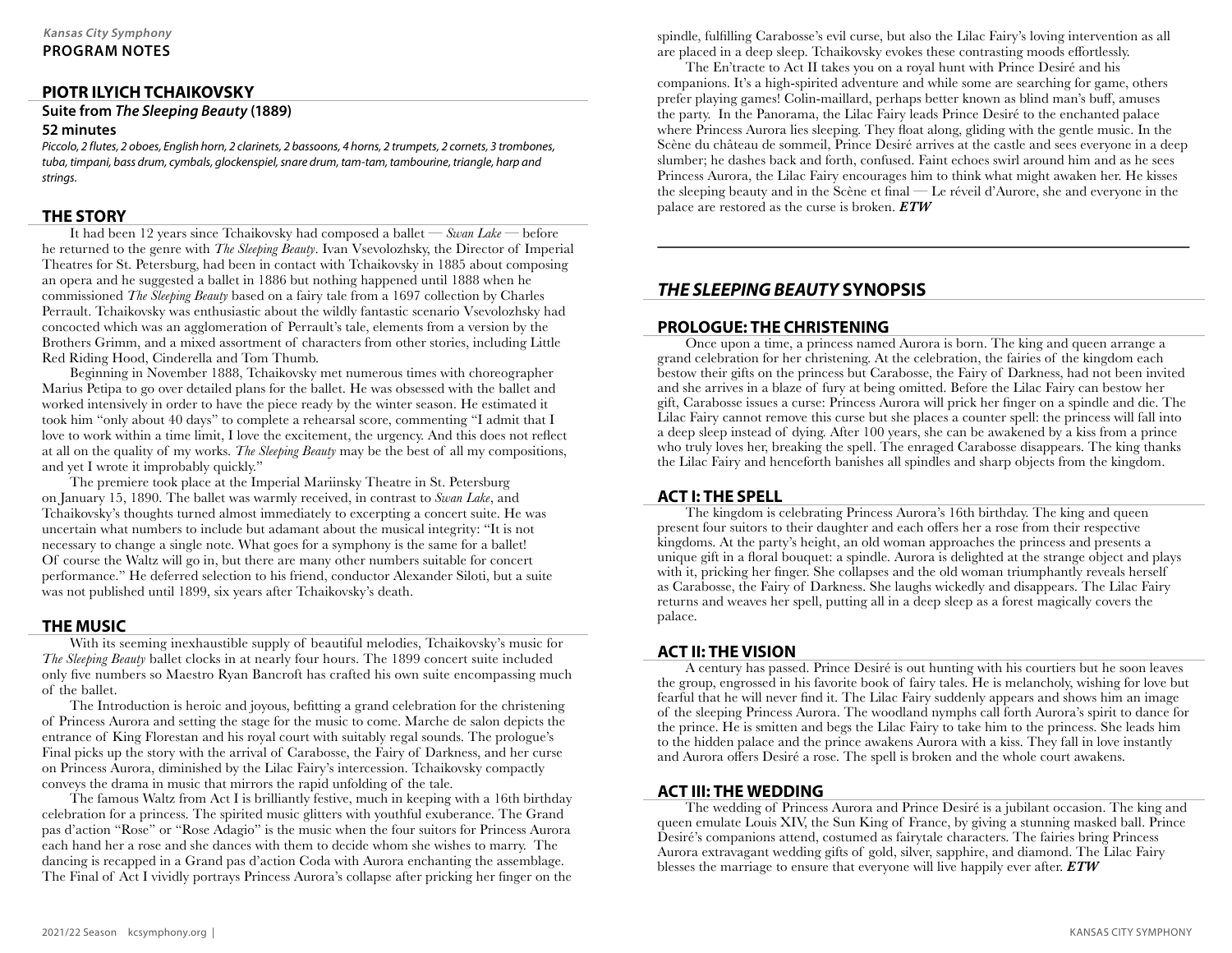## **PIOTR ILYICH TCHAIKOVSKY**

**Suite from The Sleeping Beauty (1889)**

#### **52 minutes**

Piccolo, 2 flutes, 2 oboes, English horn, 2 clarinets, 2 bassoons, 4 horns, 2 trumpets, 2 cornets, 3 trombones, tuba, timpani, bass drum, cymbals, glockenspiel, snare drum, tam-tam, tambourine, trianale, harp and strings.

## **THE STORY**

It had been 12 years since Tchaikovsky had composed a ballet — *Swan Lake* — before he returned to the genre with *The Sleeping Beauty*. Ivan Vsevolozhsky, the Director of Imperial Theatres for St. Petersburg, had been in contact with Tchaikovsky in 1885 about composing an opera and he suggested a ballet in 1886 but nothing happened until 1888 when he commissioned *The Sleeping Beauty* based on a fairy tale from a 1697 collection by Charles Perrault. Tchaikovsky was enthusiastic about the wildly fantastic scenario Vsevolozhsky had concocted which was an agglomeration of Perrault's tale, elements from a version by the Brothers Grimm, and a mixed assortment of characters from other stories, including Little Red Riding Hood, Cinderella and Tom Thumb.

Beginning in November 1888, Tchaikovsky met numerous times with choreographer Marius Petipa to go over detailed plans for the ballet. He was obsessed with the ballet and worked intensively in order to have the piece ready by the winter season. He estimated it took him "only about 40 days" to complete a rehearsal score, commenting "I admit that I love to work within a time limit, I love the excitement, the urgency. And this does not reflect at all on the quality of my works. *The Sleeping Beauty* may be the best of all my compositions, and yet I wrote it improbably quickly."

The premiere took place at the Imperial Mariinsky Theatre in St. Petersburg on January 15, 1890. The ballet was warmly received, in contrast to *Swan Lake*, and Tchaikovsky's thoughts turned almost immediately to excerpting a concert suite. He was uncertain what numbers to include but adamant about the musical integrity: "It is not necessary to change a single note. What goes for a symphony is the same for a ballet! Of course the Waltz will go in, but there are many other numbers suitable for concert performance." He deferred selection to his friend, conductor Alexander Siloti, but a suite was not published until 1899, six years after Tchaikovsky's death.

## **THE MUSIC**

With its seeming inexhaustible supply of beautiful melodies, Tchaikovsky's music for *The Sleeping Beauty* ballet clocks in at nearly four hours. The 1899 concert suite included only five numbers so Maestro Ryan Bancroft has crafted his own suite encompassing much of the ballet.

The Introduction is heroic and joyous, befitting a grand celebration for the christening of Princess Aurora and setting the stage for the music to come. Marche de salon depicts the entrance of King Florestan and his royal court with suitably regal sounds. The prologue's Final picks up the story with the arrival of Carabosse, the Fairy of Darkness, and her curse on Princess Aurora, diminished by the Lilac Fairy's intercession. Tchaikovsky compactly conveys the drama in music that mirrors the rapid unfolding of the tale.

The famous Waltz from Act I is brilliantly festive, much in keeping with a 16th birthday celebration for a princess. The spirited music glitters with youthful exuberance. The Grand pas d'action "Rose" or "Rose Adagio" is the music when the four suitors for Princess Aurora each hand her a rose and she dances with them to decide whom she wishes to marry. The dancing is recapped in a Grand pas d'action Coda with Aurora enchanting the assemblage. The Final of Act I vividly portrays Princess Aurora's collapse after pricking her finger on the spindle, fulfilling Carabosse's evil curse, but also the Lilac Fairy's loving intervention as all are placed in a deep sleep. Tchaikovsky evokes these contrasting moods effortlessly.

The En'tracte to Act II takes you on a royal hunt with Prince Desiré and his companions. It's a high-spirited adventure and while some are searching for game, others prefer playing games! Colin-maillard, perhaps better known as blind man's buff, amuses the party. In the Panorama, the Lilac Fairy leads Prince Desiré to the enchanted palace where Princess Aurora lies sleeping. They float along, gliding with the gentle music. In the Scène du château de sommeil, Prince Desiré arrives at the castle and sees everyone in a deep slumber; he dashes back and forth, confused. Faint echoes swirl around him and as he sees Princess Aurora, the Lilac Fairy encourages him to think what might awaken her. He kisses the sleeping beauty and in the Scène et final — Le réveil d'Aurore, she and everyone in the palace are restored as the curse is broken. *ETW*

## **THE SLEEPING BEAUTY SYNOPSIS**

## **PROLOGUE: THE CHRISTENING**

Once upon a time, a princess named Aurora is born. The king and queen arrange a grand celebration for her christening. At the celebration, the fairies of the kingdom each bestow their gifts on the princess but Carabosse, the Fairy of Darkness, had not been invited and she arrives in a blaze of fury at being omitted. Before the Lilac Fairy can bestow her gift, Carabosse issues a curse: Princess Aurora will prick her finger on a spindle and die. The Lilac Fairy cannot remove this curse but she places a counter spell: the princess will fall into a deep sleep instead of dying. After 100 years, she can be awakened by a kiss from a prince who truly loves her, breaking the spell. The enraged Carabosse disappears. The king thanks the Lilac Fairy and henceforth banishes all spindles and sharp objects from the kingdom.

## **ACT I: THE SPELL**

The kingdom is celebrating Princess Aurora's 16th birthday. The king and queen present four suitors to their daughter and each offers her a rose from their respective kingdoms. At the party's height, an old woman approaches the princess and presents a unique gift in a floral bouquet: a spindle. Aurora is delighted at the strange object and plays with it, pricking her finger. She collapses and the old woman triumphantly reveals herself as Carabosse, the Fairy of Darkness. She laughs wickedly and disappears. The Lilac Fairy returns and weaves her spell, putting all in a deep sleep as a forest magically covers the palace.

## **ACT II: THE VISION**

A century has passed. Prince Desiré is out hunting with his courtiers but he soon leaves the group, engrossed in his favorite book of fairy tales. He is melancholy, wishing for love but fearful that he will never find it. The Lilac Fairy suddenly appears and shows him an image of the sleeping Princess Aurora. The woodland nymphs call forth Aurora's spirit to dance for the prince. He is smitten and begs the Lilac Fairy to take him to the princess. She leads him to the hidden palace and the prince awakens Aurora with a kiss. They fall in love instantly and Aurora offers Desiré a rose. The spell is broken and the whole court awakens.

## **ACT III: THE WEDDING**

The wedding of Princess Aurora and Prince Desiré is a jubilant occasion. The king and queen emulate Louis XIV, the Sun King of France, by giving a stunning masked ball. Prince Desiré's companions attend, costumed as fairytale characters. The fairies bring Princess Aurora extravagant wedding gifts of gold, silver, sapphire, and diamond. The Lilac Fairy blesses the marriage to ensure that everyone will live happily ever after. *ETW*